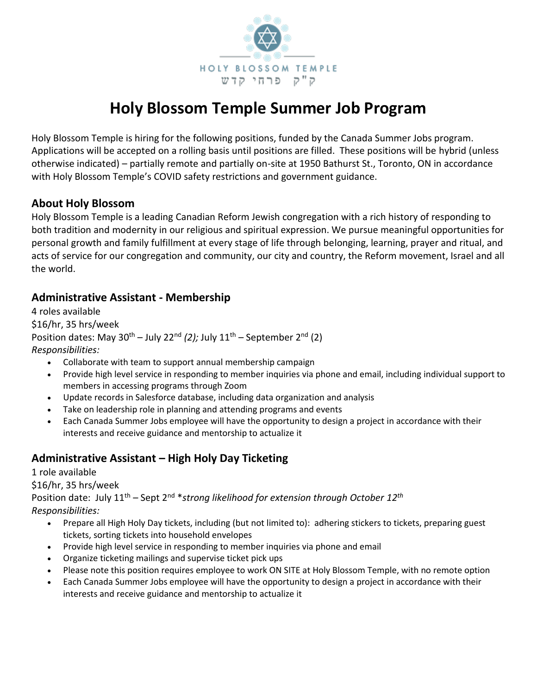

# **Holy Blossom Temple Summer Job Program**

Holy Blossom Temple is hiring for the following positions, funded by the Canada Summer Jobs program. Applications will be accepted on a rolling basis until positions are filled. These positions will be hybrid (unless otherwise indicated) – partially remote and partially on-site at 1950 Bathurst St., Toronto, ON in accordance with Holy Blossom Temple's COVID safety restrictions and government guidance.

#### **About Holy Blossom**

Holy Blossom Temple is a leading Canadian Reform Jewish congregation with a rich history of responding to both tradition and modernity in our religious and spiritual expression. We pursue meaningful opportunities for personal growth and family fulfillment at every stage of life through belonging, learning, prayer and ritual, and acts of service for our congregation and community, our city and country, the Reform movement, Israel and all the world.

#### **Administrative Assistant - Membership**

4 roles available \$16/hr, 35 hrs/week Position dates: May 30<sup>th</sup> – July 22<sup>nd</sup> (2); July 11<sup>th</sup> – September 2<sup>nd</sup> (2) *Responsibilities:*

- Collaborate with team to support annual membership campaign
- Provide high level service in responding to member inquiries via phone and email, including individual support to members in accessing programs through Zoom
- Update records in Salesforce database, including data organization and analysis
- Take on leadership role in planning and attending programs and events
- Each Canada Summer Jobs employee will have the opportunity to design a project in accordance with their interests and receive guidance and mentorship to actualize it

## **Administrative Assistant – High Holy Day Ticketing**

1 role available

\$16/hr, 35 hrs/week

Position date: July 11th – Sept 2nd \**strong likelihood for extension through October 12th Responsibilities:*

- Prepare all High Holy Day tickets, including (but not limited to): adhering stickers to tickets, preparing guest tickets, sorting tickets into household envelopes
- Provide high level service in responding to member inquiries via phone and email
- Organize ticketing mailings and supervise ticket pick ups
- Please note this position requires employee to work ON SITE at Holy Blossom Temple, with no remote option
- Each Canada Summer Jobs employee will have the opportunity to design a project in accordance with their interests and receive guidance and mentorship to actualize it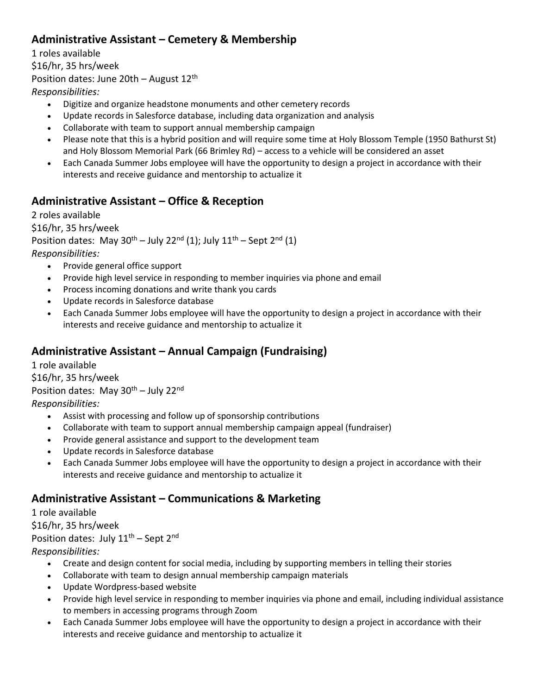## **Administrative Assistant – Cemetery & Membership**

1 roles available \$16/hr, 35 hrs/week Position dates: June 20th – August  $12<sup>th</sup>$ *Responsibilities:*

- Digitize and organize headstone monuments and other cemetery records
- Update records in Salesforce database, including data organization and analysis
- Collaborate with team to support annual membership campaign
- Please note that this is a hybrid position and will require some time at Holy Blossom Temple (1950 Bathurst St) and Holy Blossom Memorial Park (66 Brimley Rd) – access to a vehicle will be considered an asset
- Each Canada Summer Jobs employee will have the opportunity to design a project in accordance with their interests and receive guidance and mentorship to actualize it

#### **Administrative Assistant – Office & Reception**

2 roles available \$16/hr, 35 hrs/week Position dates: May  $30^{th}$  – July 22<sup>nd</sup> (1); July  $11^{th}$  – Sept 2<sup>nd</sup> (1) *Responsibilities:*

- Provide general office support
- Provide high level service in responding to member inquiries via phone and email
- Process incoming donations and write thank you cards
- Update records in Salesforce database
- Each Canada Summer Jobs employee will have the opportunity to design a project in accordance with their interests and receive guidance and mentorship to actualize it

## **Administrative Assistant – Annual Campaign (Fundraising)**

1 role available \$16/hr, 35 hrs/week Position dates: May  $30^{th}$  – July 22<sup>nd</sup> *Responsibilities:*

- Assist with processing and follow up of sponsorship contributions
- Collaborate with team to support annual membership campaign appeal (fundraiser)
- Provide general assistance and support to the development team
- Update records in Salesforce database
- Each Canada Summer Jobs employee will have the opportunity to design a project in accordance with their interests and receive guidance and mentorship to actualize it

#### **Administrative Assistant – Communications & Marketing**

1 role available \$16/hr, 35 hrs/week Position dates: July  $11<sup>th</sup>$  – Sept  $2<sup>nd</sup>$ *Responsibilities:*

- Create and design content for social media, including by supporting members in telling their stories
- Collaborate with team to design annual membership campaign materials
- Update Wordpress-based website
- Provide high level service in responding to member inquiries via phone and email, including individual assistance to members in accessing programs through Zoom
- Each Canada Summer Jobs employee will have the opportunity to design a project in accordance with their interests and receive guidance and mentorship to actualize it